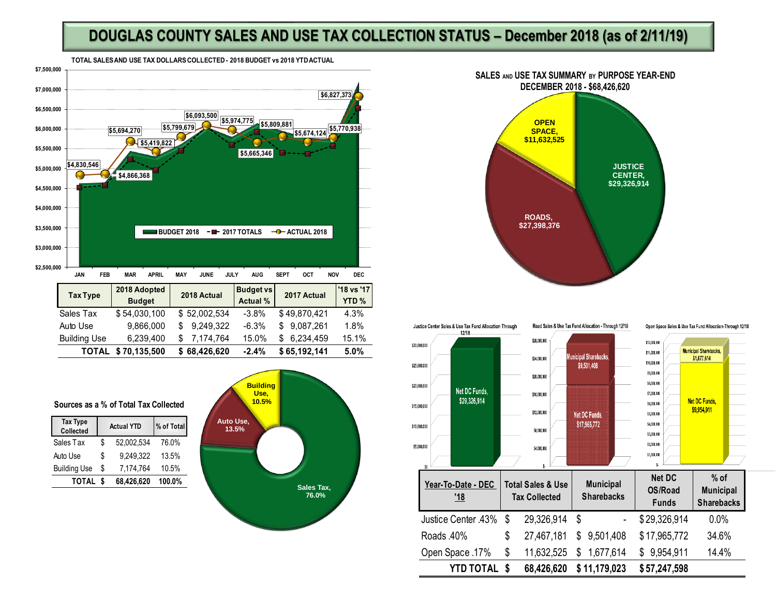## **DOUGLAS COUNTY SALES AND USE TAX COLLECTION STATUS – December 2018 (as of 2/11/19)**





## **Sources as a % of Total Tax Collected**

| <b>Tax Type</b><br>Collected | <b>Actual YTD</b> |            | % of Total |  |
|------------------------------|-------------------|------------|------------|--|
| Sales Tax                    | \$                | 52,002,534 | 76.0%      |  |
| Auto Use                     | \$                | 9.249.322  | 13.5%      |  |
| <b>Building Use</b>          | \$                | 7,174,764  | 10.5%      |  |
| TOTAL                        |                   | 68,426,620 | 100.0%     |  |